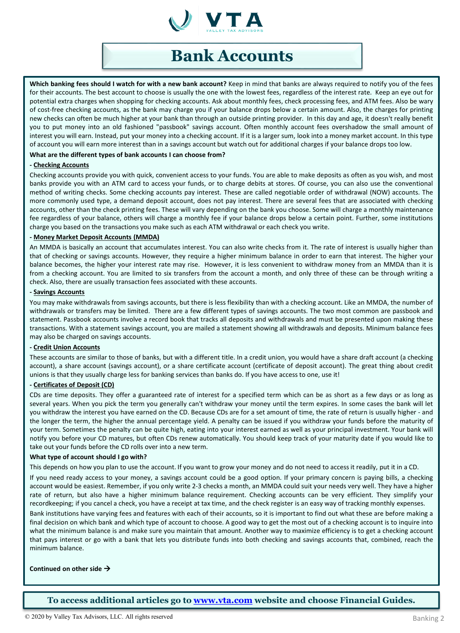

# **Bank Accounts**

**Which banking fees should I watch for with a new bank account?** Keep in mind that banks are always required to notify you of the fees for their accounts. The best account to choose is usually the one with the lowest fees, regardless of the interest rate. Keep an eye out for potential extra charges when shopping for checking accounts. Ask about monthly fees, check processing fees, and ATM fees. Also be wary of cost-free checking accounts, as the bank may charge you if your balance drops below a certain amount. Also, the charges for printing new checks can often be much higher at your bank than through an outside printing provider. In this day and age, it doesn't really benefit you to put money into an old fashioned "passbook" savings account. Often monthly account fees overshadow the small amount of interest you will earn. Instead, put your money into a checking account. If it is a larger sum, look into a money market account. In this type of account you will earn more interest than in a savings account but watch out for additional charges if your balance drops too low.

### **What are the different types of bank accounts I can choose from?**

### **- Checking Accounts**

Checking accounts provide you with quick, convenient access to your funds. You are able to make deposits as often as you wish, and most banks provide you with an ATM card to access your funds, or to charge debits at stores. Of course, you can also use the conventional method of writing checks. Some checking accounts pay interest. These are called negotiable order of withdrawal (NOW) accounts. The more commonly used type, a demand deposit account, does not pay interest. There are several fees that are associated with checking accounts, other than the check printing fees. These will vary depending on the bank you choose. Some will charge a monthly maintenance fee regardless of your balance, others will charge a monthly fee if your balance drops below a certain point. Further, some institutions charge you based on the transactions you make such as each ATM withdrawal or each check you write.

### **- Money Market Deposit Accounts (MMDA)**

An MMDA is basically an account that accumulates interest. You can also write checks from it. The rate of interest is usually higher than that of checking or savings accounts. However, they require a higher minimum balance in order to earn that interest. The higher your balance becomes, the higher your interest rate may rise. However, it is less convenient to withdraw money from an MMDA than it is from a checking account. You are limited to six transfers from the account a month, and only three of these can be through writing a check. Also, there are usually transaction fees associated with these accounts.

#### **- Savings Accounts**

You may make withdrawals from savings accounts, but there is less flexibility than with a checking account. Like an MMDA, the number of withdrawals or transfers may be limited. There are a few different types of savings accounts. The two most common are passbook and statement. Passbook accounts involve a record book that tracks all deposits and withdrawals and must be presented upon making these transactions. With a statement savings account, you are mailed a statement showing all withdrawals and deposits. Minimum balance fees may also be charged on savings accounts.

### **- Credit Union Accounts**

These accounts are similar to those of banks, but with a different title. In a credit union, you would have a share draft account (a checking account), a share account (savings account), or a share certificate account (certificate of deposit account). The great thing about credit unions is that they usually charge less for banking services than banks do. If you have access to one, use it!

### **- Certificates of Deposit (CD)**

CDs are time deposits. They offer a guaranteed rate of interest for a specified term which can be as short as a few days or as long as several years. When you pick the term you generally can't withdraw your money until the term expires. In some cases the bank will let you withdraw the interest you have earned on the CD. Because CDs are for a set amount of time, the rate of return is usually higher - and the longer the term, the higher the annual percentage yield. A penalty can be issued if you withdraw your funds before the maturity of your term. Sometimes the penalty can be quite high, eating into your interest earned as well as your principal investment. Your bank will notify you before your CD matures, but often CDs renew automatically. You should keep track of your maturity date if you would like to take out your funds before the CD rolls over into a new term.

### **What type of account should I go with?**

This depends on how you plan to use the account. If you want to grow your money and do not need to accessit readily, put it in a CD.

If you need ready access to your money, a savings account could be a good option. If your primary concern is paying bills, a checking account would be easiest. Remember, if you only write 2-3 checks a month, an MMDA could suit your needs very well. They have a higher rate of return, but also have a higher minimum balance requirement. Checking accounts can be very efficient. They simplify your recordkeeping; if you cancel a check, you have a receipt at tax time, and the check register is an easy way of tracking monthly expenses.

Bank institutions have varying fees and features with each of their accounts, so it is important to find out what these are before making a final decision on which bank and which type of account to choose. A good way to get the most out of a checking account is to inquire into what the minimum balance is and make sure you maintain that amount. Another way to maximize efficiency is to get a checking account that pays interest or go with a bank that lets you distribute funds into both checking and savings accounts that, combined, reach the minimum balance.

### **Continued on other side**

**To access additional articles go to [www.vta.com](http://www.vta.com/) website and choose Financial Guides.**